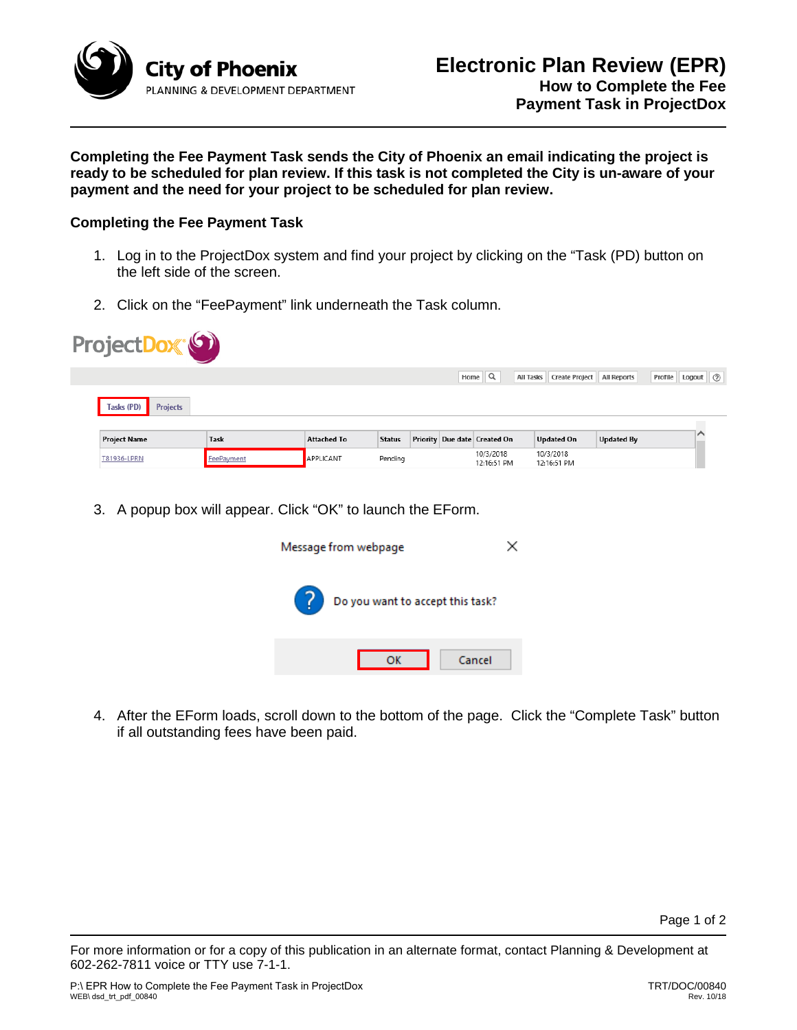

**Completing the Fee Payment Task sends the City of Phoenix an email indicating the project is ready to be scheduled for plan review. If this task is not completed the City is un-aware of your payment and the need for your project to be scheduled for plan review.** 

## **Completing the Fee Payment Task**

- 1. Log in to the ProjectDox system and find your project by clicking on the "Task (PD) button on the left side of the screen.
- 2. Click on the "FeePayment" link underneath the Task column.

| Home $\mathbb{Q}$<br>Create Project<br><b>All Tasks</b><br><b>All Reports</b><br>Tasks (PD)<br><b>Projects</b><br><b>Task</b><br>Priority Due date Created On<br><b>Updated By</b><br><b>Updated On</b><br><b>Project Name</b><br><b>Attached To</b><br><b>Status</b><br>10/3/2018<br>10/3/2018<br>APPLICANT<br>FeePayment<br>T81936-LPRN<br>Pending<br>12:16:51 PM<br>12:16:51 PM | ProjectDox <sup>®</sup> |  |  |  |  |                    |
|------------------------------------------------------------------------------------------------------------------------------------------------------------------------------------------------------------------------------------------------------------------------------------------------------------------------------------------------------------------------------------|-------------------------|--|--|--|--|--------------------|
|                                                                                                                                                                                                                                                                                                                                                                                    |                         |  |  |  |  | Profile Logout (2) |
|                                                                                                                                                                                                                                                                                                                                                                                    |                         |  |  |  |  |                    |
|                                                                                                                                                                                                                                                                                                                                                                                    |                         |  |  |  |  |                    |
|                                                                                                                                                                                                                                                                                                                                                                                    |                         |  |  |  |  |                    |

3. A popup box will appear. Click "OK" to launch the EForm.



4. After the EForm loads, scroll down to the bottom of the page. Click the "Complete Task" button if all outstanding fees have been paid.

For more information or for a copy of this publication in an alternate format, contact Planning & Development at 602-262-7811 voice or TTY use 7-1-1.